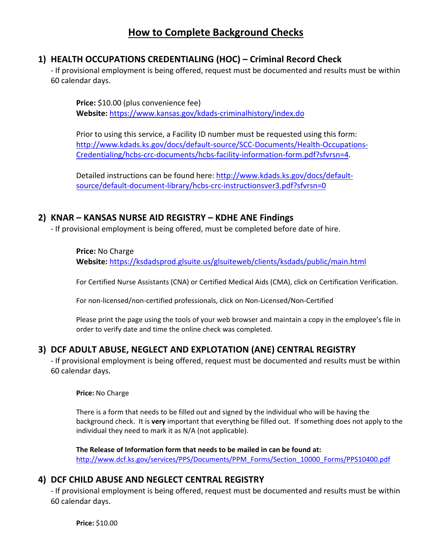## **1) HEALTH OCCUPATIONS CREDENTIALING (HOC) – Criminal Record Check**

- If provisional employment is being offered, request must be documented and results must be within 60 calendar days.

**Price:** \$10.00 (plus convenience fee) **Website:** <https://www.kansas.gov/kdads-criminalhistory/index.do>

Prior to using this service, a Facility ID number must be requested using this form: [http://www.kdads.ks.gov/docs/default-source/SCC-Documents/Health-Occupations-](http://www.kdads.ks.gov/docs/default-source/SCC-Documents/Health-Occupations-Credentialing/hcbs-crc-documents/hcbs-facility-information-form.pdf?sfvrsn=4)[Credentialing/hcbs-crc-documents/hcbs-facility-information-form.pdf?sfvrsn=4.](http://www.kdads.ks.gov/docs/default-source/SCC-Documents/Health-Occupations-Credentialing/hcbs-crc-documents/hcbs-facility-information-form.pdf?sfvrsn=4)

Detailed instructions can be found here: [http://www.kdads.ks.gov/docs/default](http://www.kdads.ks.gov/docs/default-source/default-document-library/hcbs-crc-instructionsver3.pdf?sfvrsn=0)[source/default-document-library/hcbs-crc-instructionsver3.pdf?sfvrsn=0](http://www.kdads.ks.gov/docs/default-source/default-document-library/hcbs-crc-instructionsver3.pdf?sfvrsn=0)

#### **2) KNAR – KANSAS NURSE AID REGISTRY – KDHE ANE Findings**

- If provisional employment is being offered, must be completed before date of hire.

**Price:** No Charge

**Website:** <https://ksdadsprod.glsuite.us/glsuiteweb/clients/ksdads/public/main.html>

For Certified Nurse Assistants (CNA) or Certified Medical Aids (CMA), click on Certification Verification.

For non-licensed/non-certified professionals, click on Non-Licensed/Non-Certified

Please print the page using the tools of your web browser and maintain a copy in the employee's file in order to verify date and time the online check was completed.

## **3) DCF ADULT ABUSE, NEGLECT AND EXPLOTATION (ANE) CENTRAL REGISTRY**

- If provisional employment is being offered, request must be documented and results must be within 60 calendar days.

**Price:** No Charge

There is a form that needs to be filled out and signed by the individual who will be having the background check. It is **very** important that everything be filled out. If something does not apply to the individual they need to mark it as N/A (not applicable).

**The Release of Information form that needs to be mailed in can be found at:** [http://www.dcf.ks.gov/services/PPS/Documents/PPM\\_Forms/Section\\_10000\\_Forms/PPS10400.pdf](http://www.dcf.ks.gov/services/PPS/Documents/PPM_Forms/Section_10000_Forms/PPS10400.pdf)

#### **4) DCF CHILD ABUSE AND NEGLECT CENTRAL REGISTRY**

- If provisional employment is being offered, request must be documented and results must be within 60 calendar days.

**Price:** \$10.00